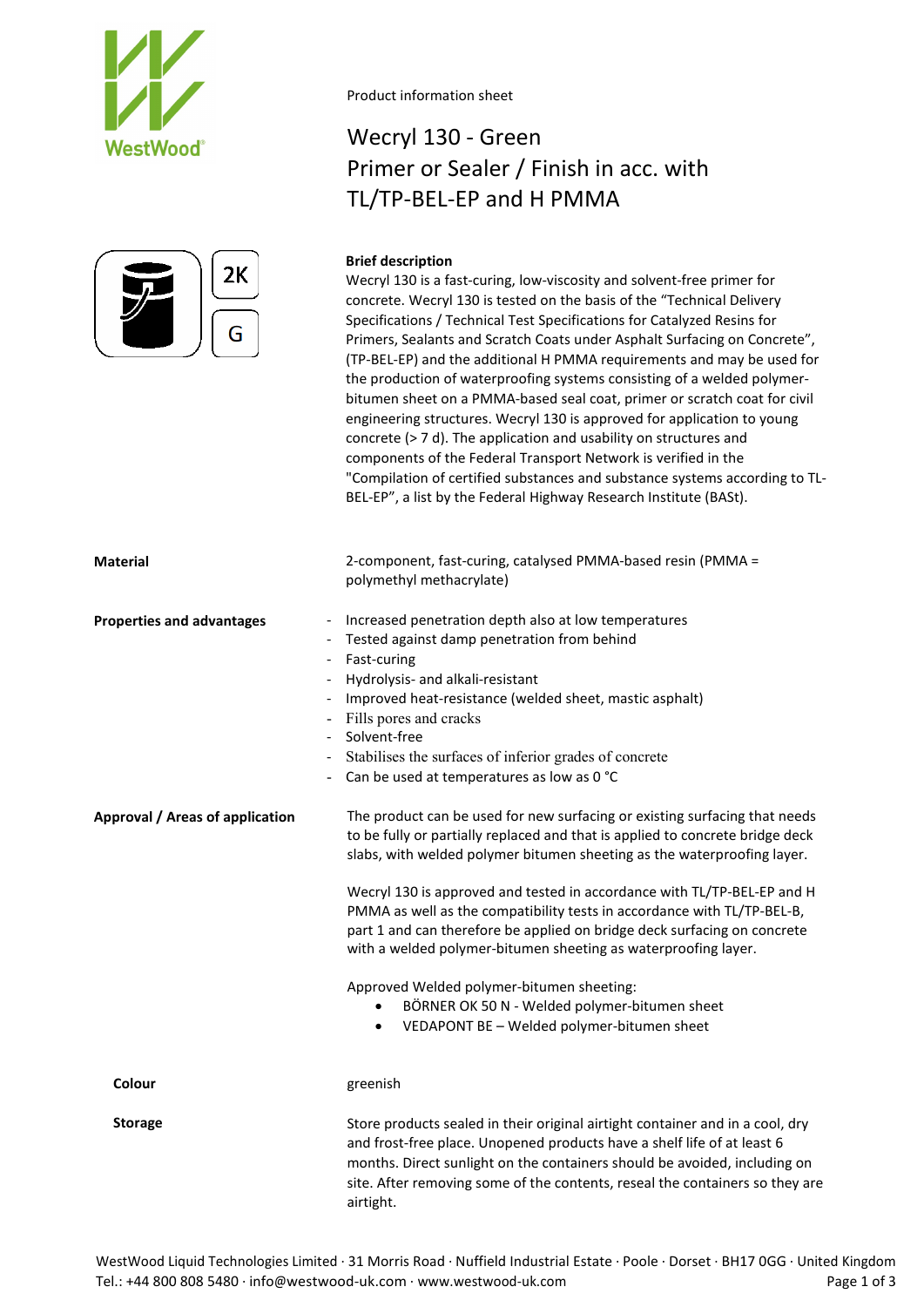



### Product information sheet

## Wecryl 130 - Green Primer or Sealer / Finish in acc. with TL/TP-BEL-EP and H PMMA

## **Brief description**

Wecryl 130 is a fast-curing, low-viscosity and solvent-free primer for concrete. Wecryl 130 is tested on the basis of the "Technical Delivery Specifications / Technical Test Specifications for Catalyzed Resins for Primers, Sealants and Scratch Coats under Asphalt Surfacing on Concrete", (TP-BEL-EP) and the additional H PMMA requirements and may be used for the production of waterproofing systems consisting of a welded polymerbitumen sheet on a PMMA-based seal coat, primer or scratch coat for civil engineering structures. Wecryl 130 is approved for application to young concrete (> 7 d). The application and usability on structures and components of the Federal Transport Network is verified in the "Compilation of certified substances and substance systems according to TL-BEL-EP", a list by the Federal Highway Research Institute (BASt).

| <b>Material</b>                                                        | 2-component, fast-curing, catalysed PMMA-based resin (PMMA =<br>polymethyl methacrylate)                                                                                                                                                                                                                                                                                                                                                                                                                                                                                                                                                                                               |
|------------------------------------------------------------------------|----------------------------------------------------------------------------------------------------------------------------------------------------------------------------------------------------------------------------------------------------------------------------------------------------------------------------------------------------------------------------------------------------------------------------------------------------------------------------------------------------------------------------------------------------------------------------------------------------------------------------------------------------------------------------------------|
| <b>Properties and advantages</b><br>$\overline{\phantom{a}}$<br>$\sim$ | Increased penetration depth also at low temperatures<br>Tested against damp penetration from behind<br>Fast-curing<br>Hydrolysis- and alkali-resistant<br>Improved heat-resistance (welded sheet, mastic asphalt)<br>Fills pores and cracks<br>Solvent-free<br>Stabilises the surfaces of inferior grades of concrete<br>Can be used at temperatures as low as 0 °C                                                                                                                                                                                                                                                                                                                    |
| <b>Approval / Areas of application</b>                                 | The product can be used for new surfacing or existing surfacing that needs<br>to be fully or partially replaced and that is applied to concrete bridge deck<br>slabs, with welded polymer bitumen sheeting as the waterproofing layer.<br>Wecryl 130 is approved and tested in accordance with TL/TP-BEL-EP and H<br>PMMA as well as the compatibility tests in accordance with TL/TP-BEL-B,<br>part 1 and can therefore be applied on bridge deck surfacing on concrete<br>with a welded polymer-bitumen sheeting as waterproofing layer.<br>Approved Welded polymer-bitumen sheeting:<br>BÖRNER OK 50 N - Welded polymer-bitumen sheet<br>VEDAPONT BE - Welded polymer-bitumen sheet |
| Colour                                                                 | greenish                                                                                                                                                                                                                                                                                                                                                                                                                                                                                                                                                                                                                                                                               |
| <b>Storage</b>                                                         | Store products sealed in their original airtight container and in a cool, dry<br>and frost-free place. Unopened products have a shelf life of at least 6<br>months. Direct sunlight on the containers should be avoided, including on<br>site. After removing some of the contents, reseal the containers so they are<br>airtight.                                                                                                                                                                                                                                                                                                                                                     |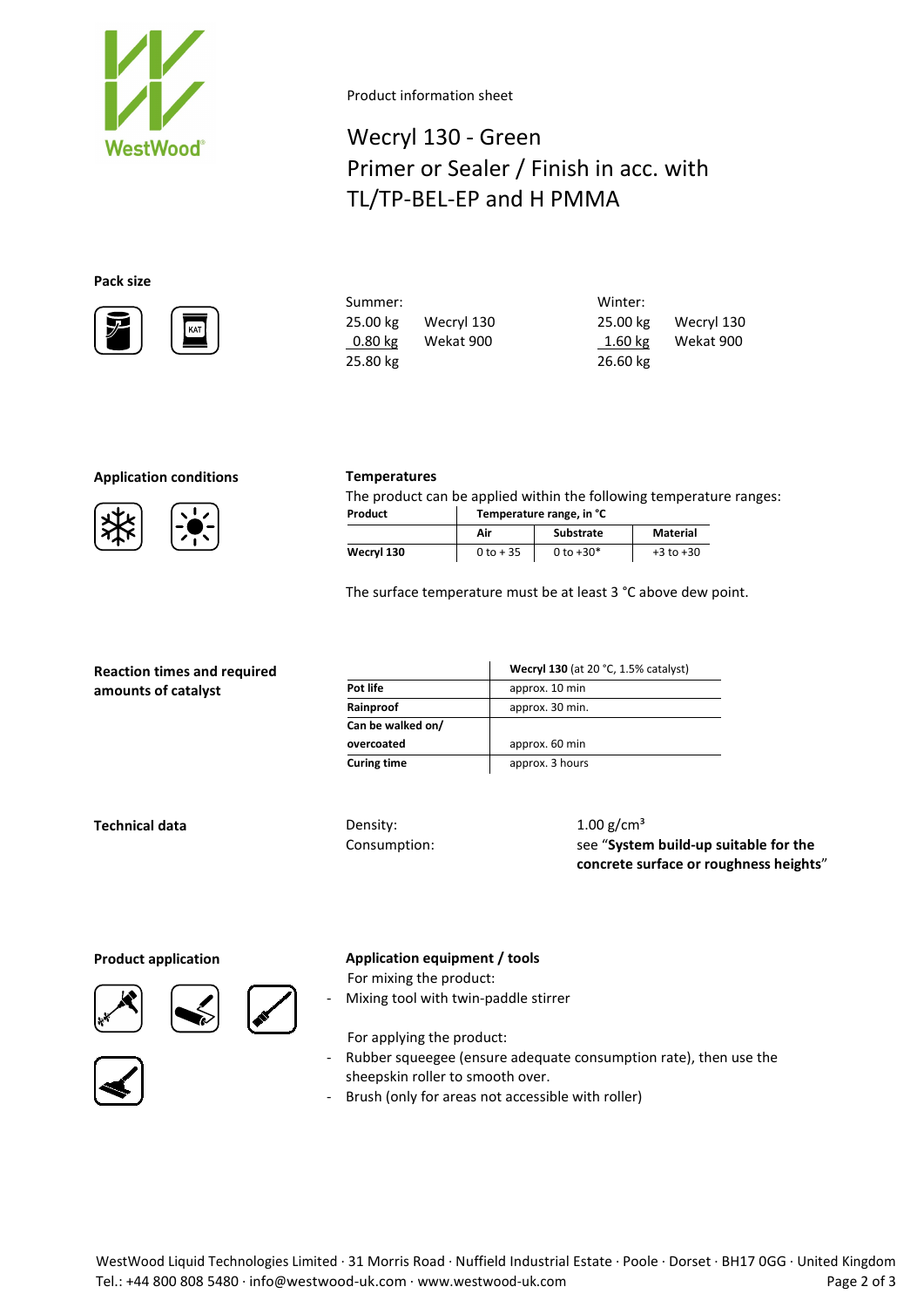

Product information sheet

# Wecryl 130 - Green Primer or Sealer / Finish in acc. with TL/TP-BEL-EP and H PMMA

## **Pack size**



|            | Winter:                |
|------------|------------------------|
| Wecryl 130 | Wecryl 130<br>25.00 kg |
| Wekat 900  | Wekat 900<br>$1.60$ kg |
|            | 26.60 kg               |
|            |                        |

### **Application conditions Temperatures**

The product can be applied within the following temperature ranges: **Product Temperature range, in °C**

|            | Air         | Substrate   | Material      |
|------------|-------------|-------------|---------------|
| Wecryl 130 | $0 to + 35$ | 0 to $+30*$ | $+3$ to $+30$ |

The surface temperature must be at least 3 °C above dew point.

| <b>Reaction times and required</b> |
|------------------------------------|
| amounts of catalyst                |

|                    | Wecryl 130 (at 20 °C, 1.5% catalyst) |
|--------------------|--------------------------------------|
| Pot life           | approx. 10 min                       |
| Rainproof          | approx. 30 min.                      |
| Can be walked on/  |                                      |
| overcoated         | approx. 60 min                       |
| <b>Curing time</b> | approx. 3 hours                      |

**Technical data** Density:

Consumption:

 $1.00$  g/cm<sup>3</sup> see "**System build-up suitable for the concrete surface or roughness heights**"





**Product application Application equipment / tools**

For mixing the product: Mixing tool with twin-paddle stirrer

- For applying the product: - Rubber squeegee (ensure adequate consumption rate), then use the sheepskin roller to smooth over.
- Brush (only for areas not accessible with roller)